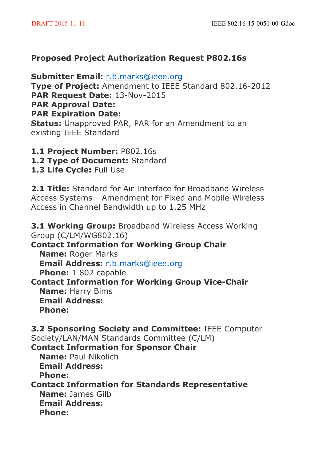## **Proposed Project Authorization Request P802.16s**

**Submitter Email:** r.b.marks@ieee.org **Type of Project:** Amendment to IEEE Standard 802.16-2012 **PAR Request Date:** 13-Nov-2015 **PAR Approval Date: PAR Expiration Date: Status:** Unapproved PAR, PAR for an Amendment to an existing IEEE Standard

- **1.1 Project Number:** P802.16s
- **1.2 Type of Document:** Standard
- **1.3 Life Cycle:** Full Use

**2.1 Title:** Standard for Air Interface for Broadband Wireless Access Systems – Amendment for Fixed and Mobile Wireless Access in Channel Bandwidth up to 1.25 MHz

**3.1 Working Group:** Broadband Wireless Access Working Group (C/LM/WG802.16) **Contact Information for Working Group Chair Name:** Roger Marks **Email Address:** r.b.marks@ieee.org **Phone:** 1 802 capable **Contact Information for Working Group Vice-Chair Name:** Harry Bims **Email Address: Phone: 3.2 Sponsoring Society and Committee:** IEEE Computer Society/LAN/MAN Standards Committee (C/LM) **Contact Information for Sponsor Chair Name:** Paul Nikolich **Email Address: Phone: Contact Information for Standards Representative Name:** James Gilb **Email Address: Phone:**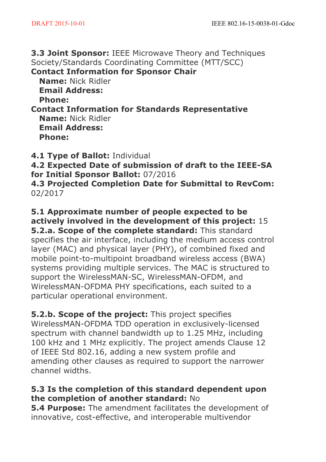**3.3 Joint Sponsor:** IEEE Microwave Theory and Techniques Society/Standards Coordinating Committee (MTT/SCC)

**Contact Information for Sponsor Chair**

**Name:** Nick Ridler **Email Address: Phone:**

**Contact Information for Standards Representative Name:** Nick Ridler **Email Address: Phone:**

**4.1 Type of Ballot:** Individual

**4.2 Expected Date of submission of draft to the IEEE-SA for Initial Sponsor Ballot:** 07/2016

**4.3 Projected Completion Date for Submittal to RevCom:** 02/2017

**5.1 Approximate number of people expected to be actively involved in the development of this project:** 15 **5.2.a. Scope of the complete standard:** This standard specifies the air interface, including the medium access control layer (MAC) and physical layer (PHY), of combined fixed and mobile point-to-multipoint broadband wireless access (BWA) systems providing multiple services. The MAC is structured to support the WirelessMAN-SC, WirelessMAN-OFDM, and WirelessMAN-OFDMA PHY specifications, each suited to a particular operational environment.

**5.2.b. Scope of the project:** This project specifies WirelessMAN-OFDMA TDD operation in exclusively-licensed spectrum with channel bandwidth up to 1.25 MHz, including 100 kHz and 1 MHz explicitly. The project amends Clause 12 of IEEE Std 802.16, adding a new system profile and amending other clauses as required to support the narrower channel widths.

# **5.3 Is the completion of this standard dependent upon the completion of another standard:** No

**5.4 Purpose:** The amendment facilitates the development of innovative, cost-effective, and interoperable multivendor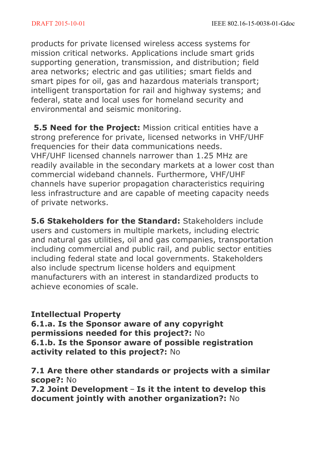products for private licensed wireless access systems for mission critical networks. Applications include smart grids supporting generation, transmission, and distribution; field area networks; electric and gas utilities; smart fields and smart pipes for oil, gas and hazardous materials transport; intelligent transportation for rail and highway systems; and federal, state and local uses for homeland security and environmental and seismic monitoring.

**5.5 Need for the Project:** Mission critical entities have a strong preference for private, licensed networks in VHF/UHF frequencies for their data communications needs. VHF/UHF licensed channels narrower than 1.25 MHz are readily available in the secondary markets at a lower cost than commercial wideband channels. Furthermore, VHF/UHF channels have superior propagation characteristics requiring less infrastructure and are capable of meeting capacity needs of private networks.

**5.6 Stakeholders for the Standard:** Stakeholders include users and customers in multiple markets, including electric and natural gas utilities, oil and gas companies, transportation including commercial and public rail, and public sector entities including federal state and local governments. Stakeholders also include spectrum license holders and equipment manufacturers with an interest in standardized products to achieve economies of scale.

### **Intellectual Property**

**6.1.a. Is the Sponsor aware of any copyright permissions needed for this project?:** No **6.1.b. Is the Sponsor aware of possible registration activity related to this project?:** No

**7.1 Are there other standards or projects with a similar scope?:** No

**7.2 Joint Development** – **Is it the intent to develop this document jointly with another organization?:** No